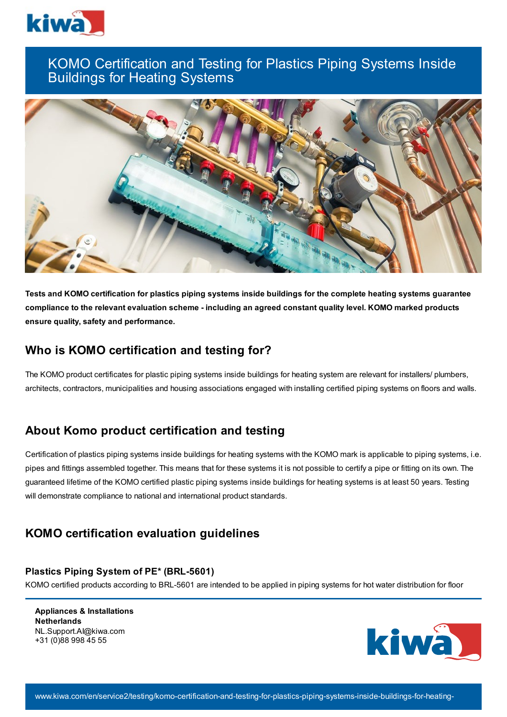

# KOMO Certification and Testing for Plastics Piping Systems Inside Buildings for Heating Systems



Tests and KOMO certification for plastics piping systems inside buildings for the complete heating systems guarantee **compliance to the relevant evaluation scheme - including an agreed constant quality level. KOMO marked products ensure quality, safety and performance.**

## **Who is KOMO certification and testing for?**

The KOMO product certificates for plastic piping systems inside buildings for heating system are relevant for installers/ plumbers, architects, contractors, municipalities and housing associations engaged with installing certified piping systems on floors and walls.

## **About Komo product certification and testing**

Certification of plastics piping systems inside buildings for heating systems with the KOMO mark is applicable to piping systems, i.e. pipes and fittings assembled together. This means that for these systems it is not possible to certify a pipe or fitting on its own. The guaranteed lifetime of the KOMO certified plastic piping systems inside buildings for heating systems is at least 50 years. Testing will demonstrate compliance to national and international product standards.

## **KOMO certification evaluation guidelines**

#### **Plastics Piping System of PE\* (BRL-5601)**

KOMO certified products according to BRL-5601 are intended to be applied in piping systems for hot water distribution for floor

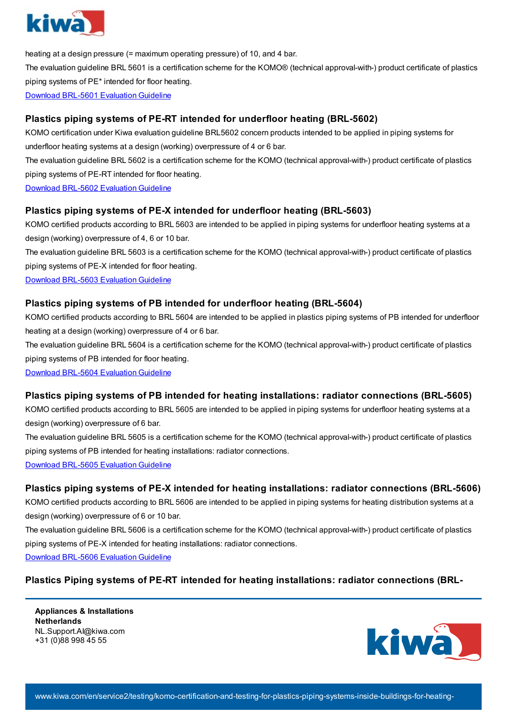

heating at a design pressure (= maximum operating pressure) of 10, and 4 bar.

The evaluation guideline BRL 5601 is a certification scheme for the KOMO® (technical approval-with-) product certificate of plastics piping systems of PE\* intended for floor heating.

Download BRL-5601 [Evaluation](https://www.kiwa.com//4a8c7f/globalassets/dam/kiwa-netherlands/downloads/brl-5601-251016_uk.pdf) Guideline

#### **Plastics piping systems of PE-RT intended for underfloor heating (BRL-5602)**

KOMO certification under Kiwa evaluation guideline BRL5602 concern products intended to be applied in piping systems for

underfloor heating systems at a design (working) overpressure of 4 or 6 bar.

The evaluation guideline BRL 5602 is a certification scheme for the KOMO (technical approval-with-) product certificate of plastics piping systems of PE-RT intended for floor heating.

Download BRL-5602 [Evaluation](https://www.kiwa.com//4a6862/globalassets/dam/kiwa-corporate/downloads/brl-5602-251016_uk.pdf) Guideline

#### **Plastics piping systems of PE-X intended for underfloor heating (BRL-5603)**

KOMO certified products according to BRL 5603 are intended to be applied in piping systems for underfloor heating systems at a design (working) overpressure of 4, 6 or 10 bar.

The evaluation guideline BRL 5603 is a certification scheme for the KOMO (technical approval-with-) product certificate of plastics piping systems of PE-X intended for floor heating.

Download BRL-5603 [Evaluation](https://www.kiwa.com//49b02f/globalassets/dam/kiwa-corporate/downloads/brl-5603-251016-wb-29-04-2021_uk2.pdf) Guideline

#### **Plastics piping systems of PB intended for underfloor heating (BRL-5604)**

KOMO certified products according to BRL 5604 are intended to be applied in plastics piping systems of PB intended for underfloor heating at a design (working) overpressure of 4 or 6 bar.

The evaluation guideline BRL 5604 is a certification scheme for the KOMO (technical approval-with-) product certificate of plastics piping systems of PB intended for floor heating.

Download BRL-5604 [Evaluation](https://www.kiwa.com//48fd06/globalassets/dam/kiwa-corporate/downloads/brl-5604-251016_uk-incl-wb-080118.pdf) Guideline

#### **Plastics piping systems of PB intended for heating installations: radiator connections (BRL-5605)**

KOMO certified products according to BRL 5605 are intended to be applied in piping systems for underfloor heating systems at a design (working) overpressure of 6 bar.

The evaluation guideline BRL 5605 is a certification scheme for the KOMO (technical approval-with-) product certificate of plastics piping systems of PB intended for heating installations: radiator connections.

Download BRL-5605 [Evaluation](https://www.kiwa.com//49959f/globalassets/dam/kiwa-corporate/downloads/5605.pdf) Guideline

#### **Plastics piping systems of PE-X intended for heating installations: radiator connections (BRL-5606)**

KOMO certified products according to BRL 5606 are intended to be applied in piping systems for heating distribution systems at a design (working) overpressure of 6 or 10 bar.

The evaluation guideline BRL 5606 is a certification scheme for the KOMO (technical approval-with-) product certificate of plastics piping systems of PE-X intended for heating installations: radiator connections.

Download BRL-5606 [Evaluation](https://www.kiwa.com//492c6e/globalassets/dam/kiwa-netherlands/downloads/brl-5606-251016-and-wb-01-02-2022_uk.pdf) Guideline

#### **Plastics Piping systems of PE-RT intended for heating installations: radiator connections (BRL-**

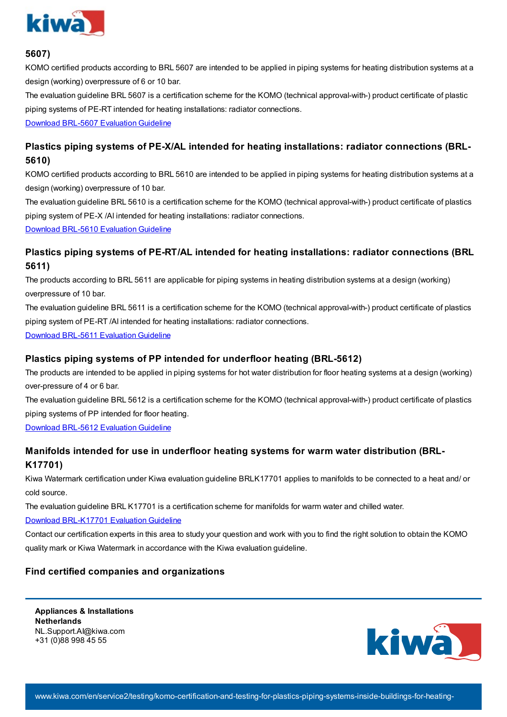

#### **5607)**

KOMO certified products according to BRL 5607 are intended to be applied in piping systems for heating distribution systems at a design (working) overpressure of 6 or 10 bar.

The evaluation guideline BRL 5607 is a certification scheme for the KOMO (technical approval-with-) product certificate of plastic piping systems of PE-RT intended for heating installations: radiator connections.

Download BRL-5607 [Evaluation](https://www.kiwa.com//492c37/globalassets/dam/kiwa-netherlands/downloads/brl-5607-251016-and-wb-01-02-2022_uk.pdf) Guideline

### **Plastics piping systems of PE-X/AL intended for heating installations: radiator connections (BRL-5610)**

KOMO certified products according to BRL 5610 are intended to be applied in piping systems for heating distribution systems at a design (working) overpressure of 10 bar.

The evaluation guideline BRL 5610 is a certification scheme for the KOMO (technical approval-with-) product certificate of plastics piping system of PE-X /Al intended for heating installations: radiator connections.

Download BRL-5610 [Evaluation](https://www.kiwa.com//4995a1/globalassets/dam/kiwa-corporate/downloads/5610.pdf) Guideline

### **Plastics piping systems of PE-RT/AL intended for heating installations: radiator connections (BRL 5611)**

The products according to BRL 5611 are applicable for piping systems in heating distribution systems at a design (working) overpressure of 10 bar.

The evaluation guideline BRL 5611 is a certification scheme for the KOMO (technical approval-with-) product certificate of plastics piping system of PE-RT /Al intended for heating installations: radiator connections.

Download BRL-5611 [Evaluation](https://www.kiwa.com//4a8785/globalassets/dam/kiwa-corporate/downloads/brl-5611-251016_uk.pdf) Guideline

#### **Plastics piping systems of PP intended for underfloor heating (BRL-5612)**

The products are intended to be applied in piping systems for hot water distribution for floor heating systems at a design (working) over-pressure of 4 or 6 bar.

The evaluation guideline BRL 5612 is a certification scheme for the KOMO (technical approval-with-) product certificate of plastics piping systems of PP intended for floor heating.

Download BRL-5612 [Evaluation](https://www.kiwa.com//48fd2a/globalassets/dam/kiwa-corporate/downloads/brl-5612-251016_uk.pdf) Guideline

### **Manifolds intended for use in underfloor heating systems for warm water distribution (BRL-K17701)**

Kiwa Watermark certification under Kiwa evaluation guideline BRLK17701 applies to manifolds to be connected to a heat and/ or cold source.

The evaluation guideline BRL K17701 is a certification scheme for manifolds for warm water and chilled water.

#### Download [BRL-K17701](https://www.kiwa.com//49a8e2/globalassets/dam/kiwa-corporate/downloads/brl-k17701-manifolds-07-05-2021-uk.pdf) Evaluation Guideline

Contact our certification experts in this area to study your question and work with you to find the right solution to obtain the KOMO quality mark or Kiwa Watermark in accordance with the Kiwa evaluation guideline.

#### **Find certified companies and organizations**